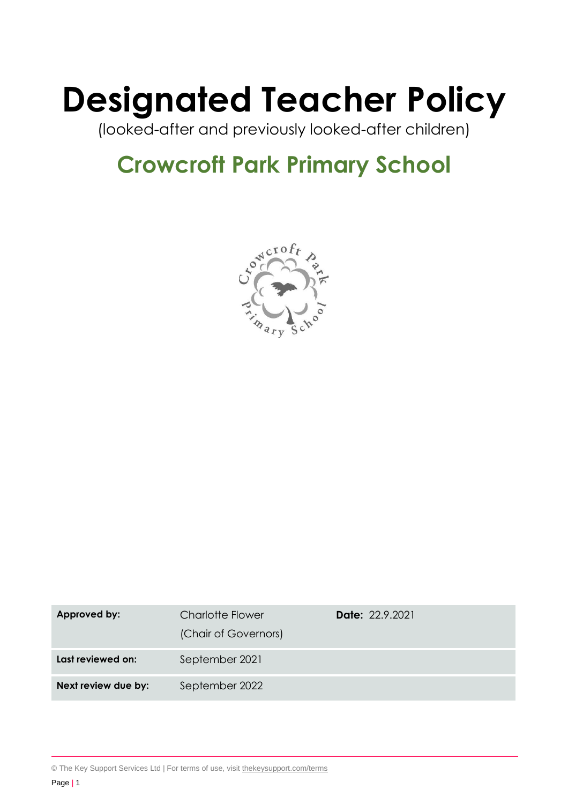# **Designated Teacher Policy**

(looked-after and previously looked-after children)

# **Crowcroft Park Primary School**



| Approved by:        | <b>Charlotte Flower</b><br>(Chair of Governors) | <b>Date: 22.9.2021</b> |
|---------------------|-------------------------------------------------|------------------------|
| Last reviewed on:   | September 2021                                  |                        |
| Next review due by: | September 2022                                  |                        |

© The Key Support Services Ltd | For terms of use, visit [thekeysupport.com/terms](https://thekeysupport.com/terms-of-use)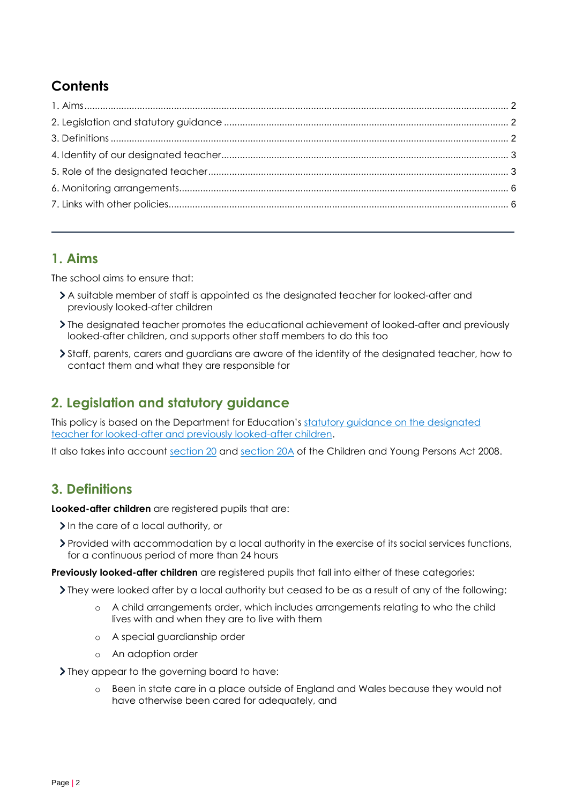# **Contents**

## <span id="page-1-0"></span>**1. Aims**

The school aims to ensure that:

- A suitable member of staff is appointed as the designated teacher for looked-after and previously looked-after children
- The designated teacher promotes the educational achievement of looked-after and previously looked-after children, and supports other staff members to do this too
- Staff, parents, carers and guardians are aware of the identity of the designated teacher, how to contact them and what they are responsible for

# <span id="page-1-1"></span>**2. Legislation and statutory guidance**

This policy is based on the Department for Education's statutory guidance on the designated [teacher for looked-after and previously looked-after children.](https://www.gov.uk/government/publications/designated-teacher-for-looked-after-children)

It also takes into account [section 20](http://www.legislation.gov.uk/ukpga/2008/23/section/20) and [section 20A](http://www.legislation.gov.uk/ukpga/2008/23/section/20A) of the Children and Young Persons Act 2008.

# <span id="page-1-2"></span>**3. Definitions**

**Looked-after children** are registered pupils that are:

- In the care of a local authority, or
- Provided with accommodation by a local authority in the exercise of its social services functions, for a continuous period of more than 24 hours

**Previously looked-after children** are registered pupils that fall into either of these categories:

- They were looked after by a local authority but ceased to be as a result of any of the following:
	- o A child arrangements order, which includes arrangements relating to who the child lives with and when they are to live with them
	- o A special guardianship order
	- o An adoption order

Iney appear to the governing board to have:

o Been in state care in a place outside of England and Wales because they would not have otherwise been cared for adequately, and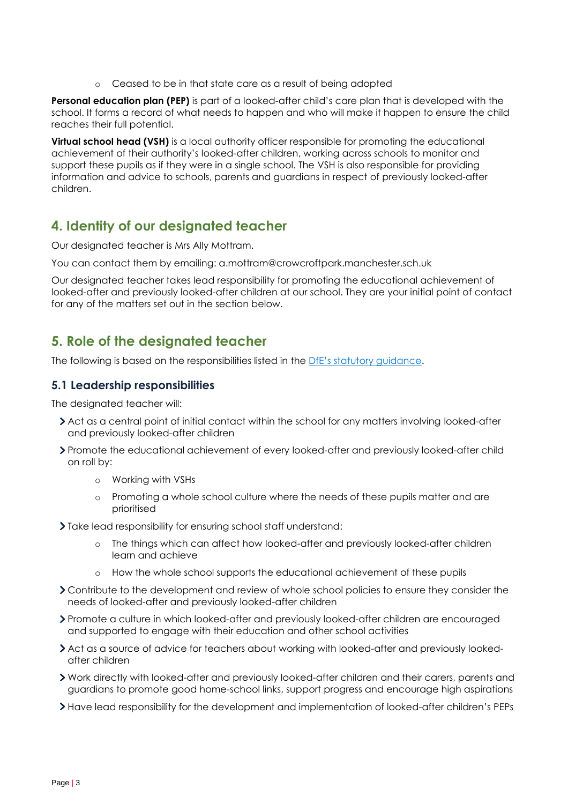o Ceased to be in that state care as a result of being adopted

**Personal education plan (PEP)** is part of a looked-after child's care plan that is developed with the school. It forms a record of what needs to happen and who will make it happen to ensure the child reaches their full potential.

**Virtual school head (VSH)** is a local authority officer responsible for promoting the educational achievement of their authority's looked-after children, working across schools to monitor and support these pupils as if they were in a single school. The VSH is also responsible for providing information and advice to schools, parents and guardians in respect of previously looked-after children.

## <span id="page-2-0"></span>**4. Identity of our designated teacher**

Our designated teacher is Mrs Ally Mottram.

You can contact them by emailing: a.mottram@crowcroftpark.manchester.sch.uk

Our designated teacher takes lead responsibility for promoting the educational achievement of looked-after and previously looked-after children at our school. They are your initial point of contact for any of the matters set out in the section below.

## <span id="page-2-1"></span>**5. Role of the designated teacher**

The following is based on the responsibilities listed in the DfE['s statutory](https://www.gov.uk/government/publications/designated-teacher-for-looked-after-children) guidance.

#### **5.1 Leadership responsibilities**

The designated teacher will:

- > Act as a central point of initial contact within the school for any matters involving looked-after and previously looked-after children
- Promote the educational achievement of every looked-after and previously looked-after child on roll by:
	- o Working with VSHs
	- o Promoting a whole school culture where the needs of these pupils matter and are prioritised
- Take lead responsibility for ensuring school staff understand:
	- The things which can affect how looked-after and previously looked-after children learn and achieve
	- o How the whole school supports the educational achievement of these pupils
- Contribute to the development and review of whole school policies to ensure they consider the needs of looked-after and previously looked-after children
- Promote a culture in which looked-after and previously looked-after children are encouraged and supported to engage with their education and other school activities
- Act as a source of advice for teachers about working with looked-after and previously lookedafter children
- Work directly with looked-after and previously looked-after children and their carers, parents and guardians to promote good home-school links, support progress and encourage high aspirations
- Have lead responsibility for the development and implementation of looked-after children's PEPs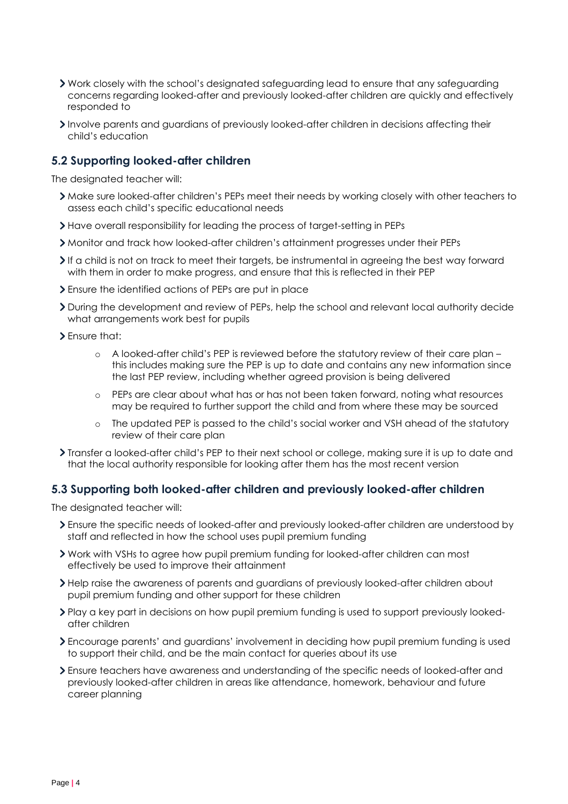- Work closely with the school's designated safeguarding lead to ensure that any safeguarding concerns regarding looked-after and previously looked-after children are quickly and effectively responded to
- Involve parents and quardians of previously looked-after children in decisions affecting their child's education

#### **5.2 Supporting looked-after children**

The designated teacher will:

- Make sure looked-after children's PEPs meet their needs by working closely with other teachers to assess each child's specific educational needs
- Have overall responsibility for leading the process of target-setting in PEPs
- Monitor and track how looked-after children's attainment progresses under their PEPs
- If a child is not on track to meet their targets, be instrumental in agreeing the best way forward with them in order to make progress, and ensure that this is reflected in their PEP
- Ensure the identified actions of PEPs are put in place
- During the development and review of PEPs, help the school and relevant local authority decide what arrangements work best for pupils
- Ensure that:
	- o A looked-after child's PEP is reviewed before the statutory review of their care plan this includes making sure the PEP is up to date and contains any new information since the last PEP review, including whether agreed provision is being delivered
	- o PEPs are clear about what has or has not been taken forward, noting what resources may be required to further support the child and from where these may be sourced
	- o The updated PEP is passed to the child's social worker and VSH ahead of the statutory review of their care plan
- Transfer a looked-after child's PEP to their next school or college, making sure it is up to date and that the local authority responsible for looking after them has the most recent version

#### **5.3 Supporting both looked-after children and previously looked-after children**

The designated teacher will:

- Ensure the specific needs of looked-after and previously looked-after children are understood by staff and reflected in how the school uses pupil premium funding
- Work with VSHs to agree how pupil premium funding for looked-after children can most effectively be used to improve their attainment
- Help raise the awareness of parents and guardians of previously looked-after children about pupil premium funding and other support for these children
- Play a key part in decisions on how pupil premium funding is used to support previously lookedafter children
- Encourage parents' and guardians' involvement in deciding how pupil premium funding is used to support their child, and be the main contact for queries about its use
- Ensure teachers have awareness and understanding of the specific needs of looked-after and previously looked-after children in areas like attendance, homework, behaviour and future career planning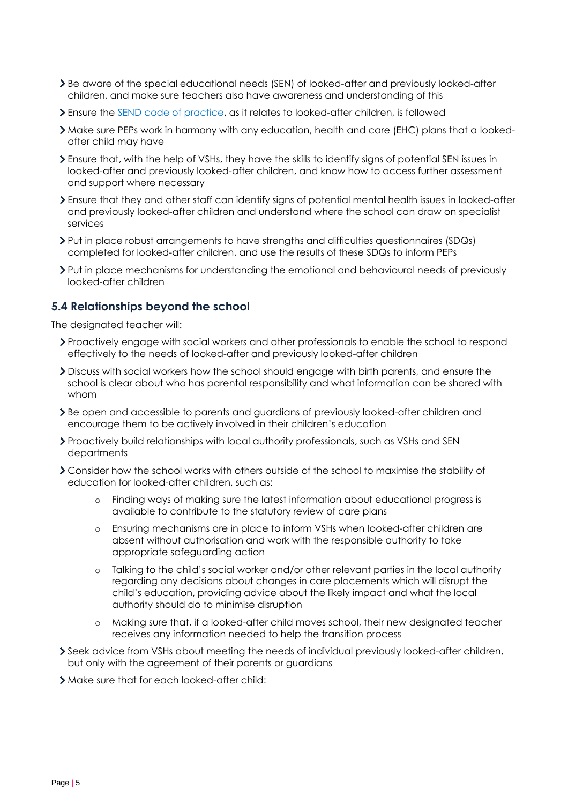- Be aware of the special educational needs (SEN) of looked-after and previously looked-after children, and make sure teachers also have awareness and understanding of this
- > Ensure the **SEND** code of practice, as it relates to looked-after children, is followed
- Make sure PEPs work in harmony with any education, health and care (EHC) plans that a lookedafter child may have
- Ensure that, with the help of VSHs, they have the skills to identify signs of potential SEN issues in looked-after and previously looked-after children, and know how to access further assessment and support where necessary
- Ensure that they and other staff can identify signs of potential mental health issues in looked-after and previously looked-after children and understand where the school can draw on specialist services
- Put in place robust arrangements to have strengths and difficulties questionnaires (SDQs) completed for looked-after children, and use the results of these SDQs to inform PEPs
- Put in place mechanisms for understanding the emotional and behavioural needs of previously looked-after children

#### **5.4 Relationships beyond the school**

The designated teacher will:

- Proactively engage with social workers and other professionals to enable the school to respond effectively to the needs of looked-after and previously looked-after children
- Discuss with social workers how the school should engage with birth parents, and ensure the school is clear about who has parental responsibility and what information can be shared with whom
- Be open and accessible to parents and guardians of previously looked-after children and encourage them to be actively involved in their children's education
- Proactively build relationships with local authority professionals, such as VSHs and SEN departments
- Consider how the school works with others outside of the school to maximise the stability of education for looked-after children, such as:
	- o Finding ways of making sure the latest information about educational progress is available to contribute to the statutory review of care plans
	- o Ensuring mechanisms are in place to inform VSHs when looked-after children are absent without authorisation and work with the responsible authority to take appropriate safeguarding action
	- o Talking to the child's social worker and/or other relevant parties in the local authority regarding any decisions about changes in care placements which will disrupt the child's education, providing advice about the likely impact and what the local authority should do to minimise disruption
	- o Making sure that, if a looked-after child moves school, their new designated teacher receives any information needed to help the transition process
- Seek advice from VSHs about meeting the needs of individual previously looked-after children, but only with the agreement of their parents or guardians
- Make sure that for each looked-after child: